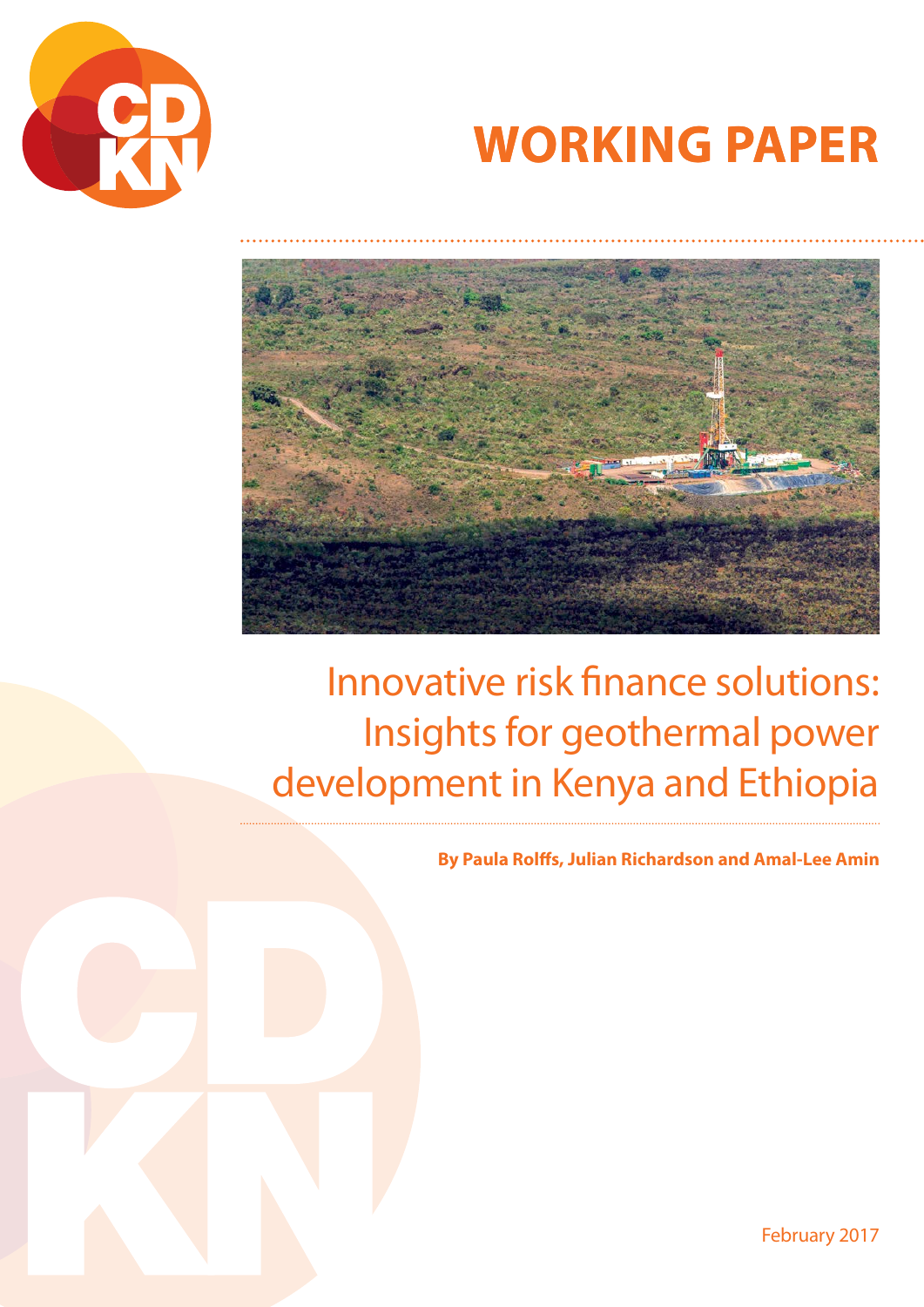

# **WORKING PAPER**



## Innovative risk finance solutions: Insights for geothermal power development in Kenya and Ethiopia

**By Paula Rolffs, Julian Richardson and Amal-Lee Amin**

February 2017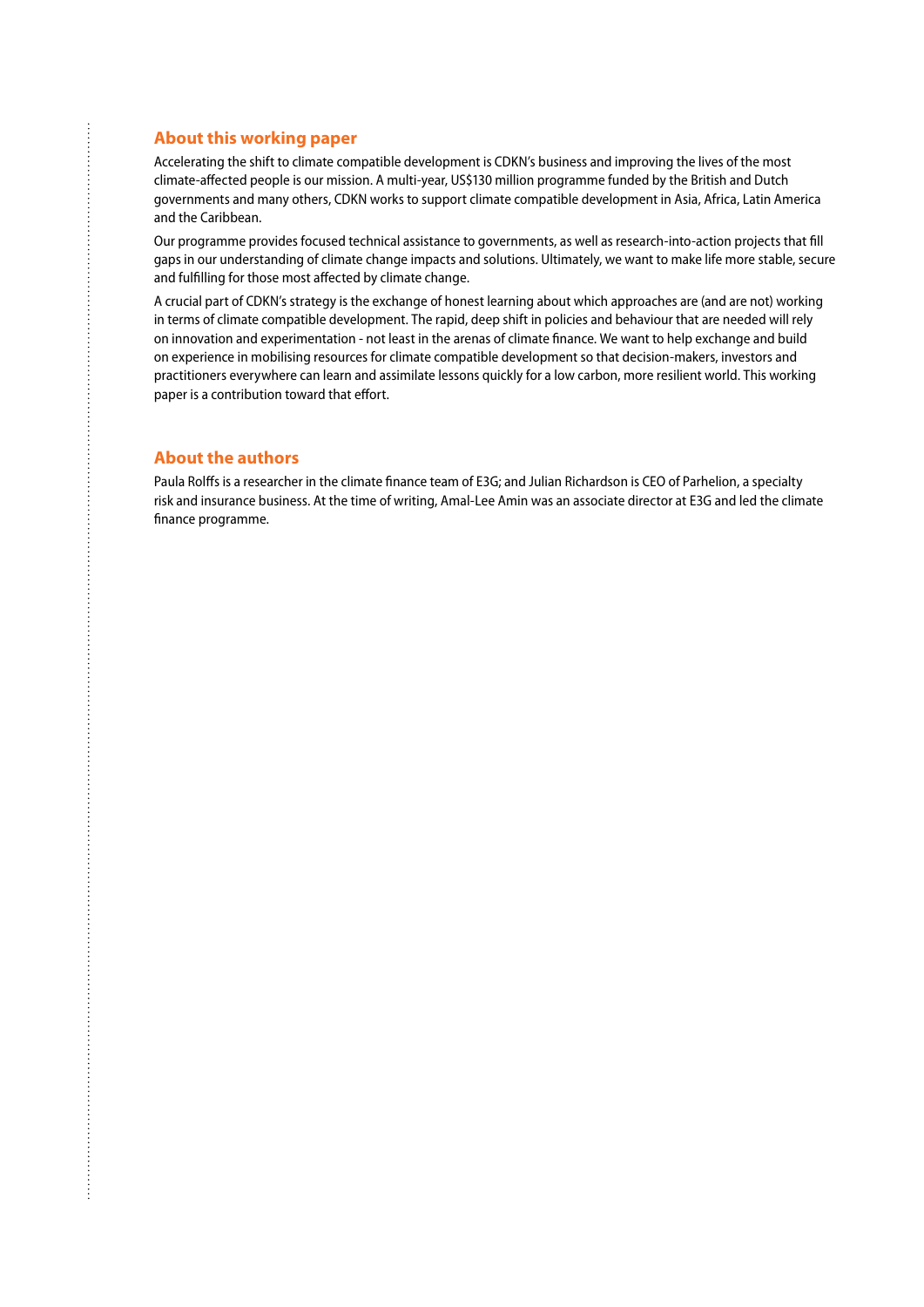#### **About this working paper**

Accelerating the shift to climate compatible development is CDKN's business and improving the lives of the most climate-affected people is our mission. A multi-year, US\$130 million programme funded by the British and Dutch governments and many others, CDKN works to support climate compatible development in Asia, Africa, Latin America and the Caribbean.

Our programme provides focused technical assistance to governments, as well as research-into-action projects that fill gaps in our understanding of climate change impacts and solutions. Ultimately, we want to make life more stable, secure and fulfilling for those most affected by climate change.

A crucial part of CDKN's strategy is the exchange of honest learning about which approaches are (and are not) working in terms of climate compatible development. The rapid, deep shift in policies and behaviour that are needed will rely on innovation and experimentation - not least in the arenas of climate finance. We want to help exchange and build on experience in mobilising resources for climate compatible development so that decision-makers, investors and practitioners everywhere can learn and assimilate lessons quickly for a low carbon, more resilient world. This working paper is a contribution toward that effort.

### **About the authors**

Paula Rolffs is a researcher in the climate finance team of E3G; and Julian Richardson is CEO of Parhelion, a specialty risk and insurance business. At the time of writing, Amal-Lee Amin was an associate director at E3G and led the climate finance programme.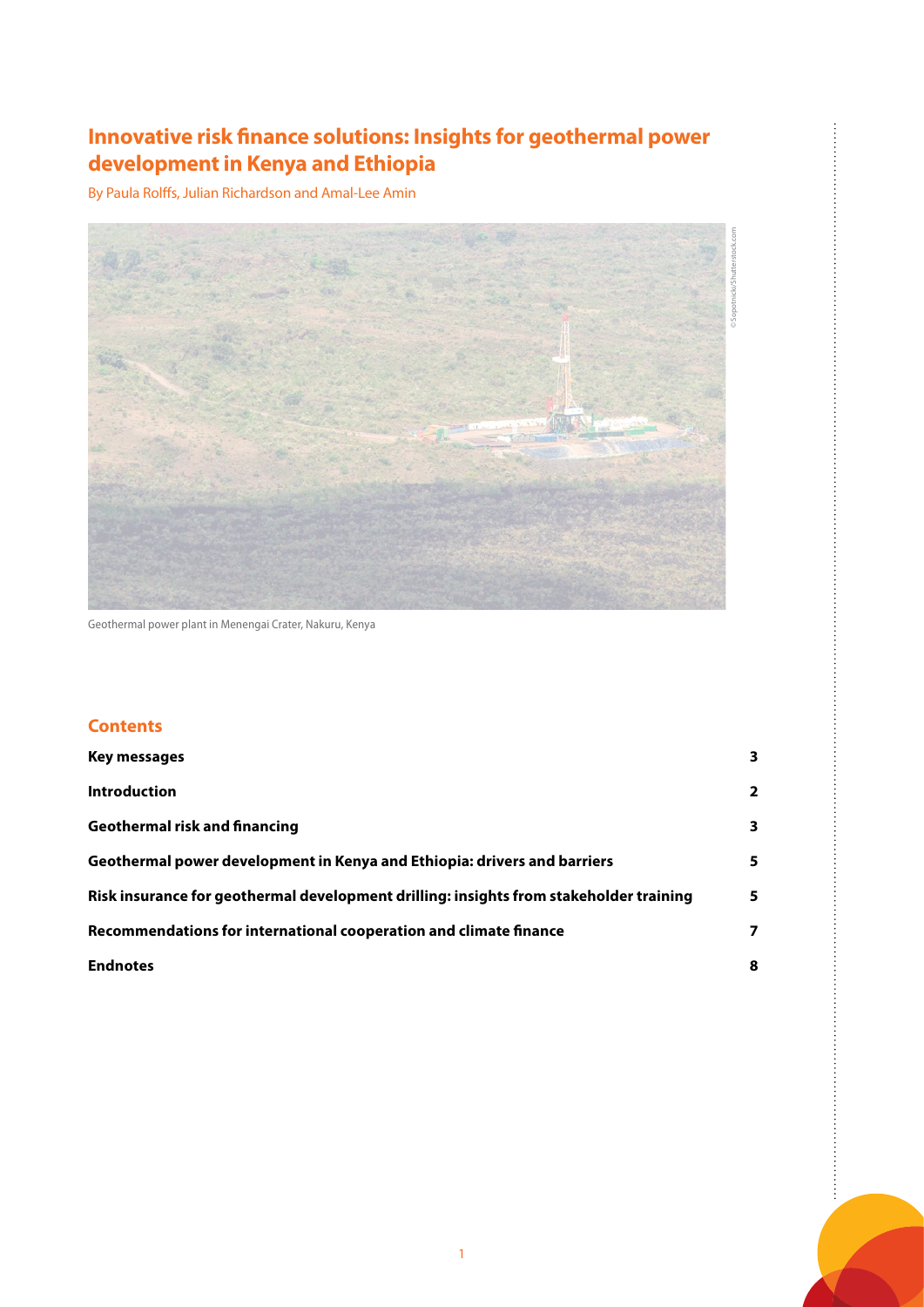## **Innovative risk finance solutions: Insights for geothermal power development in Kenya and Ethiopia**

By Paula Rolffs, Julian Richardson and Amal-Lee Amin



Geothermal power plant in Menengai Crater, Nakuru, Kenya

## **Contents**

| Key messages                                                                           | $\overline{\mathbf{3}}$ |
|----------------------------------------------------------------------------------------|-------------------------|
| <b>Introduction</b>                                                                    | $\overline{2}$          |
| <b>Geothermal risk and financing</b>                                                   | 3                       |
| Geothermal power development in Kenya and Ethiopia: drivers and barriers               | 5                       |
| Risk insurance for geothermal development drilling: insights from stakeholder training | 5                       |
| Recommendations for international cooperation and climate finance                      | 7                       |
| <b>Endnotes</b>                                                                        | 8                       |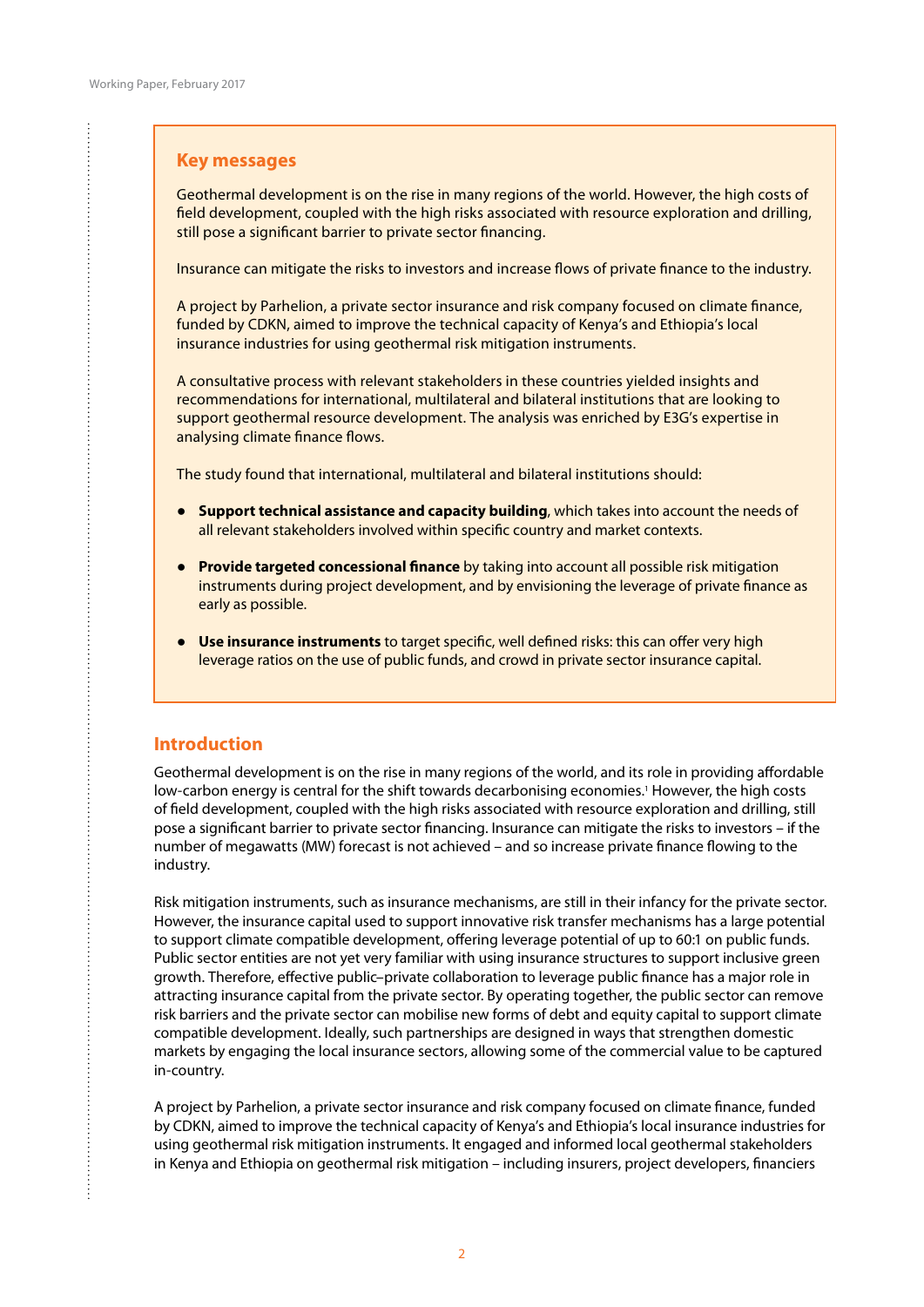#### <span id="page-3-0"></span>**Key messages**

Geothermal development is on the rise in many regions of the world. However, the high costs of field development, coupled with the high risks associated with resource exploration and drilling, still pose a significant barrier to private sector financing.

Insurance can mitigate the risks to investors and increase flows of private finance to the industry.

A project by Parhelion, a private sector insurance and risk company focused on climate finance, funded by CDKN, aimed to improve the technical capacity of Kenya's and Ethiopia's local insurance industries for using geothermal risk mitigation instruments.

A consultative process with relevant stakeholders in these countries yielded insights and recommendations for international, multilateral and bilateral institutions that are looking to support geothermal resource development. The analysis was enriched by E3G's expertise in analysing climate finance flows.

The study found that international, multilateral and bilateral institutions should:

- **Support technical assistance and capacity building**, which takes into account the needs of all relevant stakeholders involved within specific country and market contexts.
- **Provide targeted concessional finance** by taking into account all possible risk mitigation instruments during project development, and by envisioning the leverage of private finance as early as possible.
- **Use insurance instruments** to target specific, well defined risks: this can offer very high leverage ratios on the use of public funds, and crowd in private sector insurance capital.

### **Introduction**

 $\vdots$ 

Geothermal development is on the rise in many regions of the world, and its role in providing affordable low-carbon energy is central for the shift towards decarbonising economies.<sup>1</sup> However, the high costs of field development, coupled with the high risks associated with resource exploration and drilling, still pose a significant barrier to private sector financing. Insurance can mitigate the risks to investors – if the number of megawatts (MW) forecast is not achieved – and so increase private finance flowing to the industry.

Risk mitigation instruments, such as insurance mechanisms, are still in their infancy for the private sector. However, the insurance capital used to support innovative risk transfer mechanisms has a large potential to support climate compatible development, offering leverage potential of up to 60:1 on public funds. Public sector entities are not yet very familiar with using insurance structures to support inclusive green growth. Therefore, effective public–private collaboration to leverage public finance has a major role in attracting insurance capital from the private sector. By operating together, the public sector can remove risk barriers and the private sector can mobilise new forms of debt and equity capital to support climate compatible development. Ideally, such partnerships are designed in ways that strengthen domestic markets by engaging the local insurance sectors, allowing some of the commercial value to be captured in-country.

A project by Parhelion, a private sector insurance and risk company focused on climate finance, funded by CDKN, aimed to improve the technical capacity of Kenya's and Ethiopia's local insurance industries for using geothermal risk mitigation instruments. It engaged and informed local geothermal stakeholders in Kenya and Ethiopia on geothermal risk mitigation – including insurers, project developers, financiers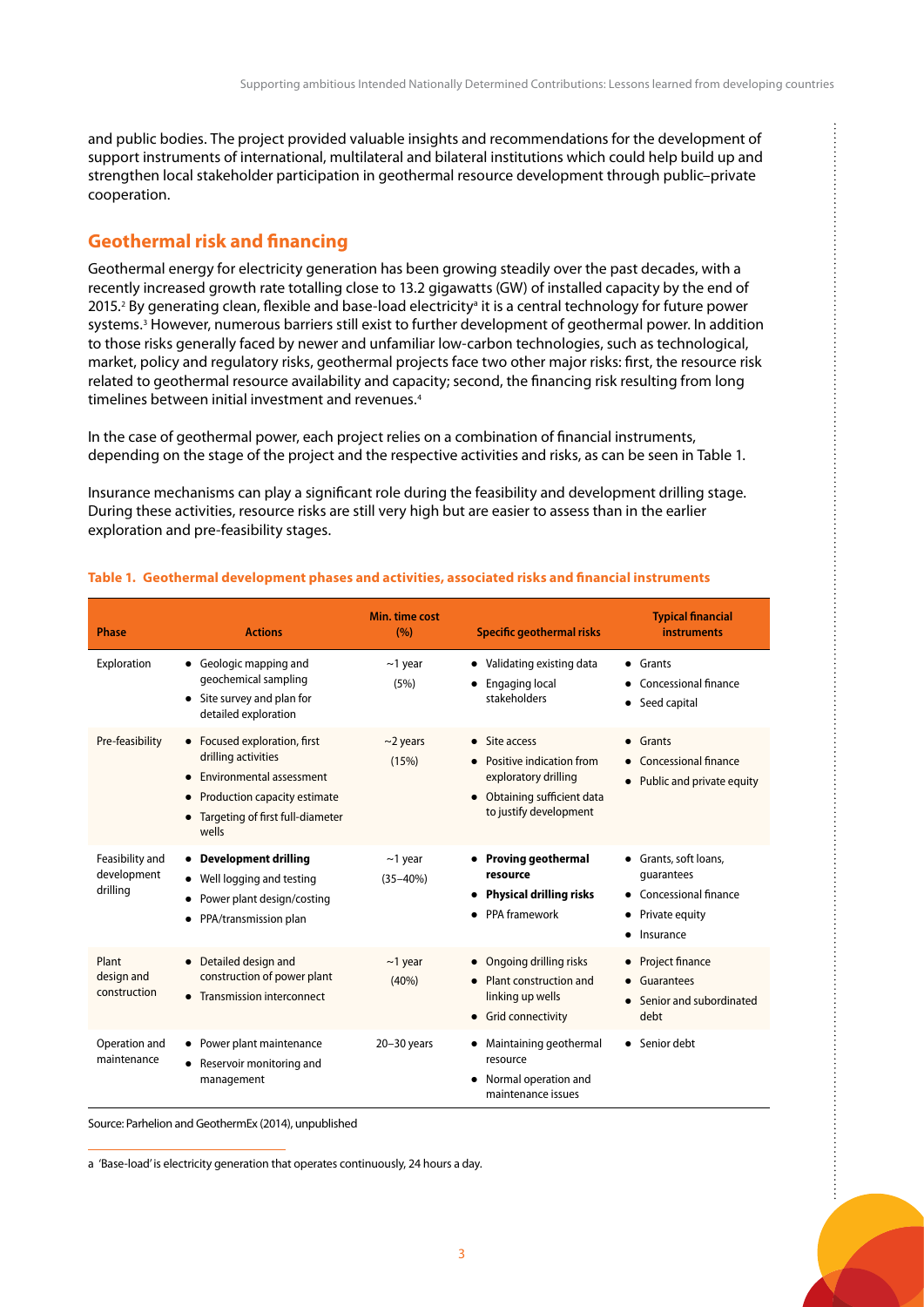<span id="page-4-0"></span>and public bodies. The project provided valuable insights and recommendations for the development of support instruments of international, multilateral and bilateral institutions which could help build up and strengthen local stakeholder participation in geothermal resource development through public–private cooperation.

## **Geothermal risk and financing**

Geothermal energy for electricity generation has been growing steadily over the past decades, with a recently increased growth rate totalling close to 13.2 gigawatts (GW) of installed capacity by the end of 2015.<sup>2</sup> By generating clean, flexible and base-load electricityª it is a central technology for future power systems.3 However, numerous barriers still exist to further development of geothermal power. In addition to those risks generally faced by newer and unfamiliar low-carbon technologies, such as technological, market, policy and regulatory risks, geothermal projects face two other major risks: first, the resource risk related to geothermal resource availability and capacity; second, the financing risk resulting from long timelines between initial investment and revenues.<sup>4</sup>

In the case of geothermal power, each project relies on a combination of financial instruments, depending on the stage of the project and the respective activities and risks, as can be seen in Table 1.

Insurance mechanisms can play a significant role during the feasibility and development drilling stage. During these activities, resource risks are still very high but are easier to assess than in the earlier exploration and pre-feasibility stages.

| <b>Phase</b>                               | <b>Actions</b>                                                                                                                                               | Min. time cost<br>(9/0)        | <b>Specific geothermal risks</b>                                                                                         | <b>Typical financial</b><br><b>instruments</b>                                                                            |
|--------------------------------------------|--------------------------------------------------------------------------------------------------------------------------------------------------------------|--------------------------------|--------------------------------------------------------------------------------------------------------------------------|---------------------------------------------------------------------------------------------------------------------------|
| Exploration                                | • Geologic mapping and<br>geochemical sampling<br>Site survey and plan for<br>$\bullet$<br>detailed exploration                                              | $\sim$ 1 year<br>(5%)          | • Validating existing data<br><b>Engaging local</b><br>stakeholders                                                      | $\bullet$ Grants<br>Concessional finance<br>Seed capital<br>$\bullet$                                                     |
| Pre-feasibility                            | • Focused exploration, first<br>drilling activities<br>Environmental assessment<br>Production capacity estimate<br>Targeting of first full-diameter<br>wells | $\sim$ 2 years<br>(15%)        | • Site access<br>Positive indication from<br>exploratory drilling<br>Obtaining sufficient data<br>to justify development | • Grants<br>Concessional finance<br>Public and private equity<br>$\bullet$                                                |
| Feasibility and<br>development<br>drilling | • Development drilling<br>Well logging and testing<br>Power plant design/costing<br>PPA/transmission plan                                                    | $\sim$ 1 year<br>$(35 - 40\%)$ | • Proving geothermal<br>resource<br><b>Physical drilling risks</b><br>٠<br>PPA framework                                 | • Grants, soft loans,<br>quarantees<br>Concessional finance<br>$\bullet$<br>Private equity<br>٠<br>Insurance<br>$\bullet$ |
| Plant<br>design and<br>construction        | • Detailed design and<br>construction of power plant<br>• Transmission interconnect                                                                          | $\sim$ 1 year<br>(40%)         | • Ongoing drilling risks<br>Plant construction and<br>linking up wells<br>• Grid connectivity                            | • Project finance<br>Guarantees<br>Senior and subordinated<br>$\bullet$<br>debt                                           |
| Operation and<br>maintenance               | • Power plant maintenance<br>Reservoir monitoring and<br>management                                                                                          | $20 - 30$ years                | Maintaining geothermal<br>٠<br>resource<br>Normal operation and<br>$\bullet$<br>maintenance issues                       | • Senior debt                                                                                                             |

#### **Table 1. Geothermal development phases and activities, associated risks and financial instruments**

Source: Parhelion and GeothermEx (2014), unpublished

a 'Base-load' is electricity generation that operates continuously, 24 hours a day.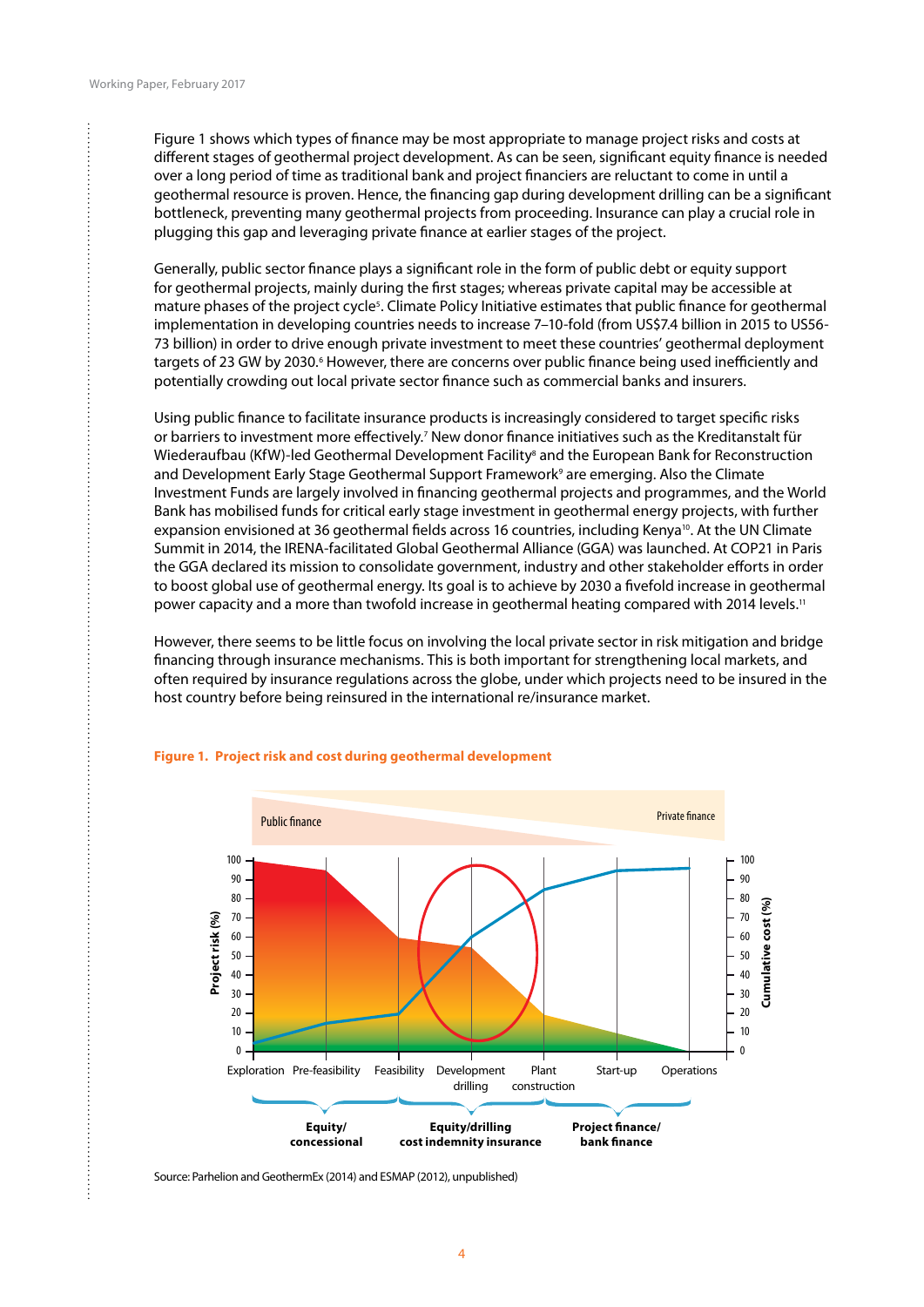Figure 1 shows which types of finance may be most appropriate to manage project risks and costs at different stages of geothermal project development. As can be seen, significant equity finance is needed over a long period of time as traditional bank and project financiers are reluctant to come in until a geothermal resource is proven. Hence, the financing gap during development drilling can be a significant bottleneck, preventing many geothermal projects from proceeding. Insurance can play a crucial role in plugging this gap and leveraging private finance at earlier stages of the project.

Generally, public sector finance plays a significant role in the form of public debt or equity support for geothermal projects, mainly during the first stages; whereas private capital may be accessible at mature phases of the project cycle<sup>s</sup>. Climate Policy Initiative estimates that public finance for geothermal implementation in developing countries needs to increase 7–10-fold (from US\$7.4 billion in 2015 to US56- 73 billion) in order to drive enough private investment to meet these countries' geothermal deployment targets of 23 GW by 2030.6 However, there are concerns over public finance being used inefficiently and potentially crowding out local private sector finance such as commercial banks and insurers.

Using public finance to facilitate insurance products is increasingly considered to target specific risks or barriers to investment more effectively.<sup>7</sup> New donor finance initiatives such as the Kreditanstalt für Wiederaufbau (KfW)-led Geothermal Development Facility<sup>8</sup> and the European Bank for Reconstruction and Development Early Stage Geothermal Support Framework<sup>9</sup> are emerging. Also the Climate Investment Funds are largely involved in financing geothermal projects and programmes, and the World Bank has mobilised funds for critical early stage investment in geothermal energy projects, with further expansion envisioned at 36 geothermal fields across 16 countries, including Kenya<sup>10</sup>. At the UN Climate Summit in 2014, the IRENA-facilitated Global Geothermal Alliance (GGA) was launched. At COP21 in Paris the GGA declared its mission to consolidate government, industry and other stakeholder efforts in order to boost global use of geothermal energy. Its goal is to achieve by 2030 a fivefold increase in geothermal power capacity and a more than twofold increase in geothermal heating compared with 2014 levels.<sup>11</sup>

However, there seems to be little focus on involving the local private sector in risk mitigation and bridge financing through insurance mechanisms. This is both important for strengthening local markets, and often required by insurance regulations across the globe, under which projects need to be insured in the host country before being reinsured in the international re/insurance market.



#### **Figure 1. Project risk and cost during geothermal development**

Source: Parhelion and GeothermEx (2014) and ESMAP (2012), unpublished)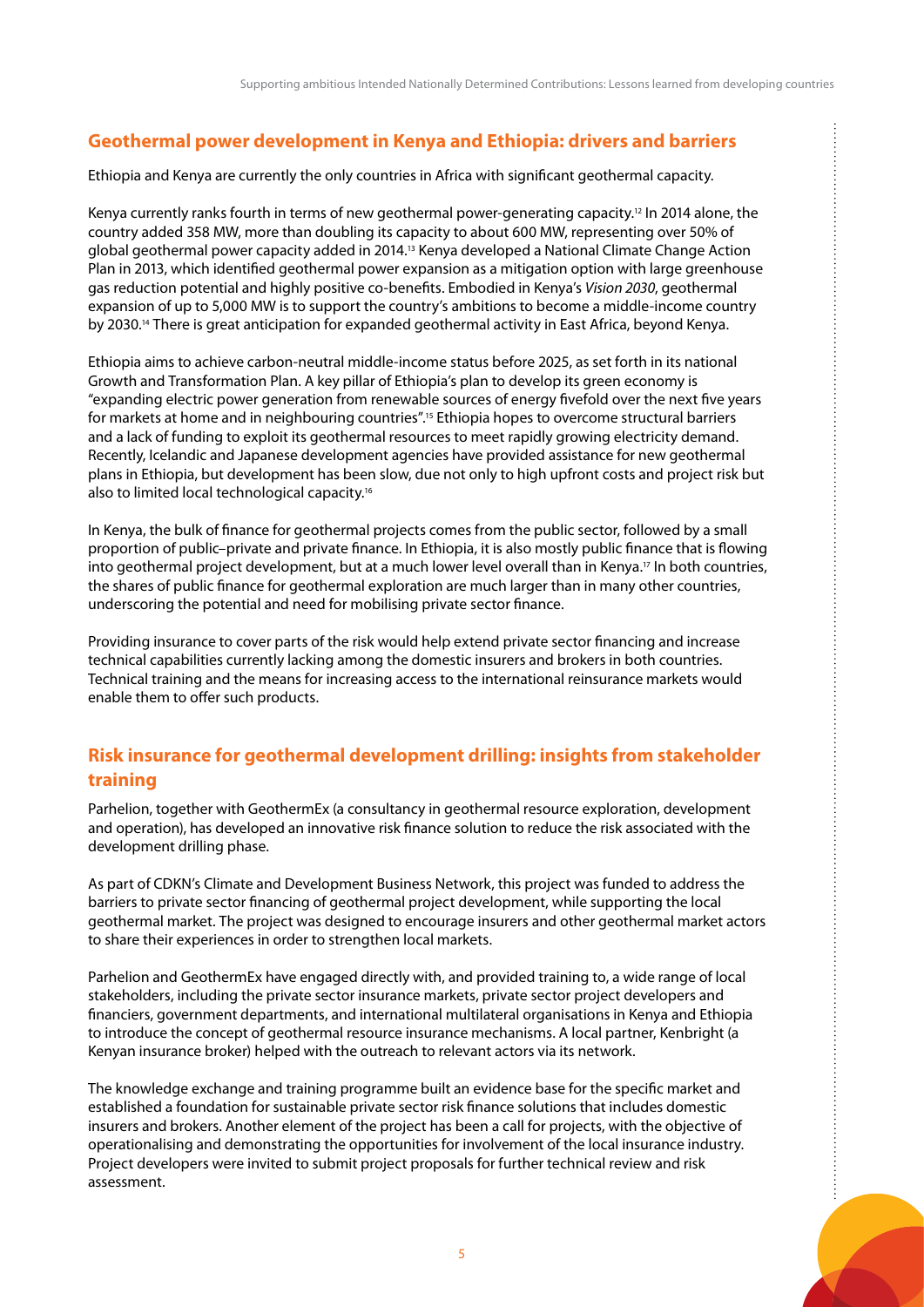## <span id="page-6-0"></span>**Geothermal power development in Kenya and Ethiopia: drivers and barriers**

Ethiopia and Kenya are currently the only countries in Africa with significant geothermal capacity.

Kenya currently ranks fourth in terms of new geothermal power-generating capacity.12 In 2014 alone, the country added 358 MW, more than doubling its capacity to about 600 MW, representing over 50% of global geothermal power capacity added in 2014.13 Kenya developed a National Climate Change Action Plan in 2013, which identified geothermal power expansion as a mitigation option with large greenhouse gas reduction potential and highly positive co-benefits. Embodied in Kenya's *Vision 2030*, geothermal expansion of up to 5,000 MW is to support the country's ambitions to become a middle-income country by 2030.14 There is great anticipation for expanded geothermal activity in East Africa, beyond Kenya.

Ethiopia aims to achieve carbon-neutral middle-income status before 2025, as set forth in its national Growth and Transformation Plan. A key pillar of Ethiopia's plan to develop its green economy is "expanding electric power generation from renewable sources of energy fivefold over the next five years for markets at home and in neighbouring countries".15 Ethiopia hopes to overcome structural barriers and a lack of funding to exploit its geothermal resources to meet rapidly growing electricity demand. Recently, Icelandic and Japanese development agencies have provided assistance for new geothermal plans in Ethiopia, but development has been slow, due not only to high upfront costs and project risk but also to limited local technological capacity.<sup>16</sup>

In Kenya, the bulk of finance for geothermal projects comes from the public sector, followed by a small proportion of public–private and private finance. In Ethiopia, it is also mostly public finance that is flowing into geothermal project development, but at a much lower level overall than in Kenya.17 In both countries, the shares of public finance for geothermal exploration are much larger than in many other countries, underscoring the potential and need for mobilising private sector finance.

Providing insurance to cover parts of the risk would help extend private sector financing and increase technical capabilities currently lacking among the domestic insurers and brokers in both countries. Technical training and the means for increasing access to the international reinsurance markets would enable them to offer such products.

## **Risk insurance for geothermal development drilling: insights from stakeholder training**

Parhelion, together with GeothermEx (a consultancy in geothermal resource exploration, development and operation), has developed an innovative risk finance solution to reduce the risk associated with the development drilling phase.

As part of CDKN's Climate and Development Business Network, this project was funded to address the barriers to private sector financing of geothermal project development, while supporting the local geothermal market. The project was designed to encourage insurers and other geothermal market actors to share their experiences in order to strengthen local markets.

Parhelion and GeothermEx have engaged directly with, and provided training to, a wide range of local stakeholders, including the private sector insurance markets, private sector project developers and financiers, government departments, and international multilateral organisations in Kenya and Ethiopia to introduce the concept of geothermal resource insurance mechanisms. A local partner, Kenbright (a Kenyan insurance broker) helped with the outreach to relevant actors via its network.

The knowledge exchange and training programme built an evidence base for the specific market and established a foundation for sustainable private sector risk finance solutions that includes domestic insurers and brokers. Another element of the project has been a call for projects, with the objective of operationalising and demonstrating the opportunities for involvement of the local insurance industry. Project developers were invited to submit project proposals for further technical review and risk assessment.

 $\vdots$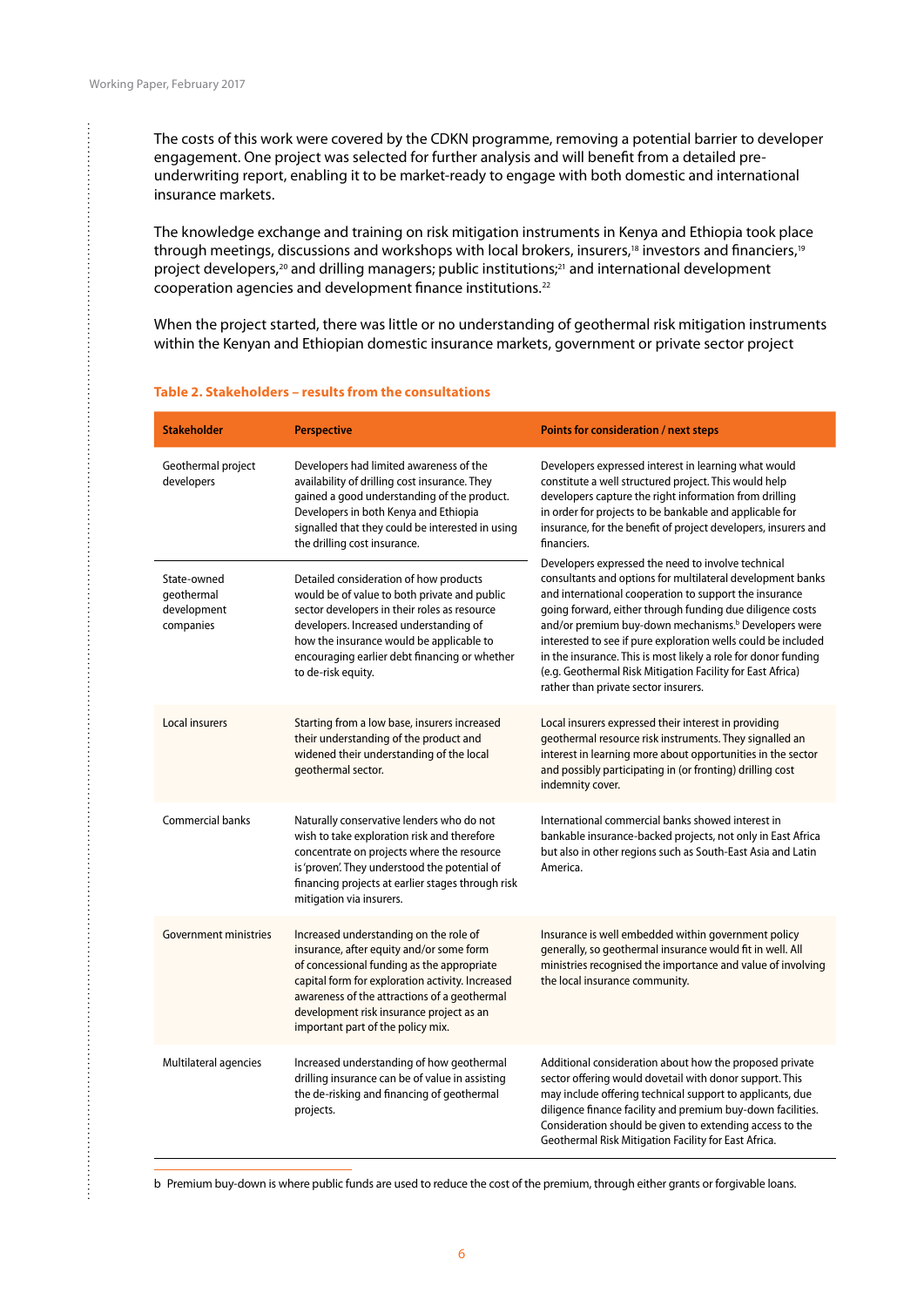...............

. . . . . . . . . . . . . . . . . .

The costs of this work were covered by the CDKN programme, removing a potential barrier to developer engagement. One project was selected for further analysis and will benefit from a detailed preunderwriting report, enabling it to be market-ready to engage with both domestic and international insurance markets.

The knowledge exchange and training on risk mitigation instruments in Kenya and Ethiopia took place through meetings, discussions and workshops with local brokers, insurers,<sup>18</sup> investors and financiers,<sup>19</sup> project developers,<sup>20</sup> and drilling managers; public institutions;<sup>21</sup> and international development cooperation agencies and development finance institutions.22

When the project started, there was little or no understanding of geothermal risk mitigation instruments within the Kenyan and Ethiopian domestic insurance markets, government or private sector project

| <b>Stakeholder</b>                                                                                                                                                                                                                                                                                                                                    | <b>Perspective</b>                                                                                                                                                                                                                                                                                  | Points for consideration / next steps                                                                                                                                                                                                                                                                                                                                                                                                                                                                                                                                                                                                                                                                                                                                                                                                                                       |  |
|-------------------------------------------------------------------------------------------------------------------------------------------------------------------------------------------------------------------------------------------------------------------------------------------------------------------------------------------------------|-----------------------------------------------------------------------------------------------------------------------------------------------------------------------------------------------------------------------------------------------------------------------------------------------------|-----------------------------------------------------------------------------------------------------------------------------------------------------------------------------------------------------------------------------------------------------------------------------------------------------------------------------------------------------------------------------------------------------------------------------------------------------------------------------------------------------------------------------------------------------------------------------------------------------------------------------------------------------------------------------------------------------------------------------------------------------------------------------------------------------------------------------------------------------------------------------|--|
| Geothermal project<br>developers                                                                                                                                                                                                                                                                                                                      | Developers had limited awareness of the<br>availability of drilling cost insurance. They<br>gained a good understanding of the product.<br>Developers in both Kenya and Ethiopia<br>signalled that they could be interested in using<br>the drilling cost insurance.                                | Developers expressed interest in learning what would<br>constitute a well structured project. This would help<br>developers capture the right information from drilling<br>in order for projects to be bankable and applicable for<br>insurance, for the benefit of project developers, insurers and<br>financiers.<br>Developers expressed the need to involve technical<br>consultants and options for multilateral development banks<br>and international cooperation to support the insurance<br>going forward, either through funding due diligence costs<br>and/or premium buy-down mechanisms. <sup>b</sup> Developers were<br>interested to see if pure exploration wells could be included<br>in the insurance. This is most likely a role for donor funding<br>(e.g. Geothermal Risk Mitigation Facility for East Africa)<br>rather than private sector insurers. |  |
| State-owned<br>geothermal<br>development<br>companies                                                                                                                                                                                                                                                                                                 | Detailed consideration of how products<br>would be of value to both private and public<br>sector developers in their roles as resource<br>developers. Increased understanding of<br>how the insurance would be applicable to<br>encouraging earlier debt financing or whether<br>to de-risk equity. |                                                                                                                                                                                                                                                                                                                                                                                                                                                                                                                                                                                                                                                                                                                                                                                                                                                                             |  |
| Local insurers                                                                                                                                                                                                                                                                                                                                        | Starting from a low base, insurers increased<br>their understanding of the product and<br>widened their understanding of the local<br>geothermal sector.                                                                                                                                            | Local insurers expressed their interest in providing<br>geothermal resource risk instruments. They signalled an<br>interest in learning more about opportunities in the sector<br>and possibly participating in (or fronting) drilling cost<br>indemnity cover.                                                                                                                                                                                                                                                                                                                                                                                                                                                                                                                                                                                                             |  |
| <b>Commercial banks</b>                                                                                                                                                                                                                                                                                                                               | Naturally conservative lenders who do not<br>wish to take exploration risk and therefore<br>concentrate on projects where the resource<br>is 'proven'. They understood the potential of<br>financing projects at earlier stages through risk<br>mitigation via insurers.                            | International commercial banks showed interest in<br>bankable insurance-backed projects, not only in East Africa<br>but also in other regions such as South-East Asia and Latin<br>America.                                                                                                                                                                                                                                                                                                                                                                                                                                                                                                                                                                                                                                                                                 |  |
| <b>Government ministries</b><br>Increased understanding on the role of<br>insurance, after equity and/or some form<br>of concessional funding as the appropriate<br>capital form for exploration activity. Increased<br>awareness of the attractions of a geothermal<br>development risk insurance project as an<br>important part of the policy mix. |                                                                                                                                                                                                                                                                                                     | Insurance is well embedded within government policy<br>generally, so geothermal insurance would fit in well. All<br>ministries recognised the importance and value of involving<br>the local insurance community.                                                                                                                                                                                                                                                                                                                                                                                                                                                                                                                                                                                                                                                           |  |
| Multilateral agencies                                                                                                                                                                                                                                                                                                                                 | Increased understanding of how geothermal<br>drilling insurance can be of value in assisting<br>the de-risking and financing of geothermal<br>projects.                                                                                                                                             | Additional consideration about how the proposed private<br>sector offering would dovetail with donor support. This<br>may include offering technical support to applicants, due<br>diligence finance facility and premium buy-down facilities.<br>Consideration should be given to extending access to the<br>Geothermal Risk Mitigation Facility for East Africa.                                                                                                                                                                                                                                                                                                                                                                                                                                                                                                          |  |

#### **Table 2. Stakeholders – results from the consultations**

b Premium buy-down is where public funds are used to reduce the cost of the premium, through either grants or forgivable loans.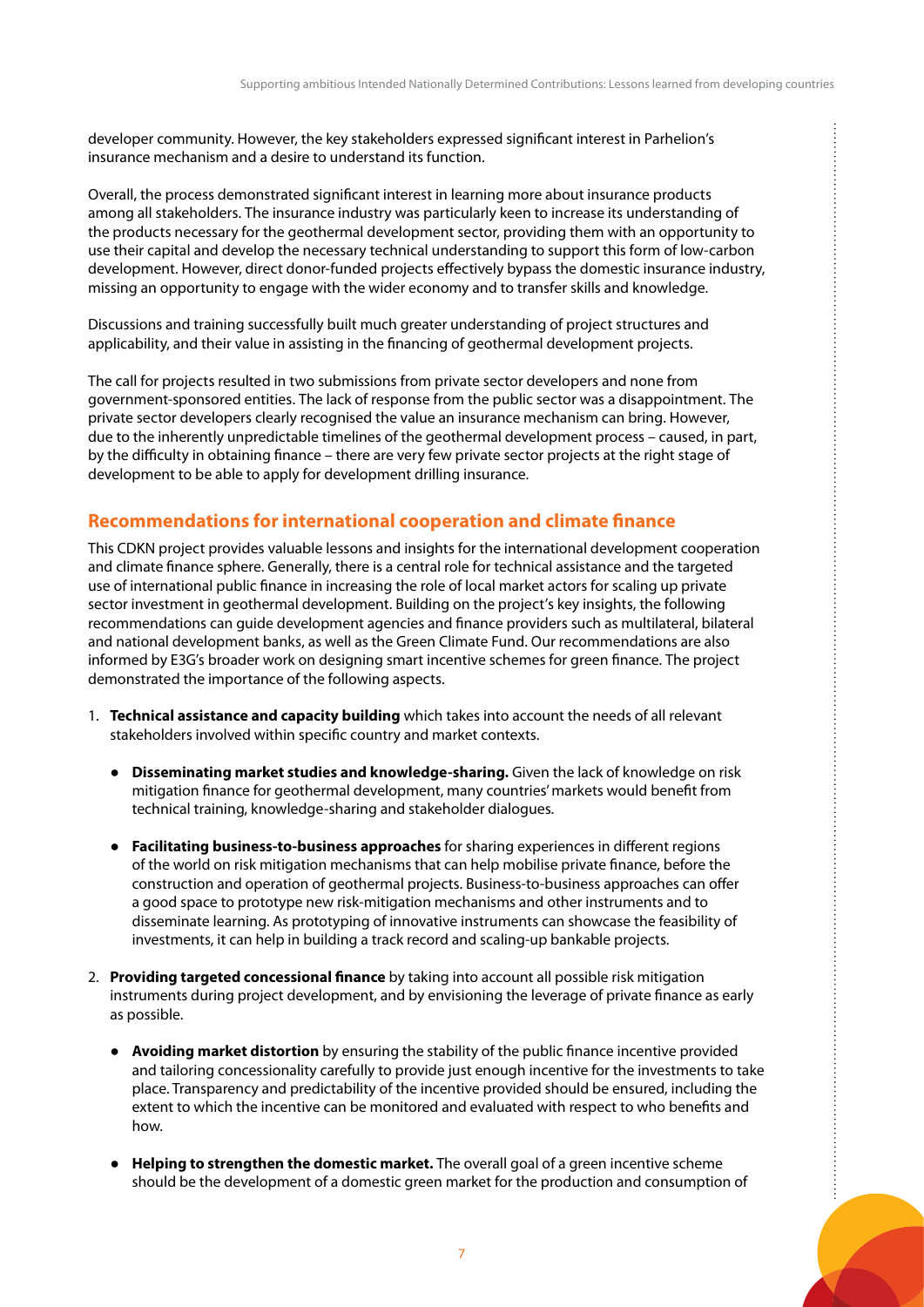<span id="page-8-0"></span>developer community. However, the key stakeholders expressed significant interest in Parhelion's insurance mechanism and a desire to understand its function.

Overall, the process demonstrated significant interest in learning more about insurance products among all stakeholders. The insurance industry was particularly keen to increase its understanding of the products necessary for the geothermal development sector, providing them with an opportunity to use their capital and develop the necessary technical understanding to support this form of low-carbon development. However, direct donor-funded projects effectively bypass the domestic insurance industry, missing an opportunity to engage with the wider economy and to transfer skills and knowledge.

Discussions and training successfully built much greater understanding of project structures and applicability, and their value in assisting in the financing of geothermal development projects.

The call for projects resulted in two submissions from private sector developers and none from government-sponsored entities. The lack of response from the public sector was a disappointment. The private sector developers clearly recognised the value an insurance mechanism can bring. However, due to the inherently unpredictable timelines of the geothermal development process – caused, in part, by the difficulty in obtaining finance – there are very few private sector projects at the right stage of development to be able to apply for development drilling insurance.

## **Recommendations for international cooperation and climate finance**

This CDKN project provides valuable lessons and insights for the international development cooperation and climate finance sphere. Generally, there is a central role for technical assistance and the targeted use of international public finance in increasing the role of local market actors for scaling up private sector investment in geothermal development. Building on the project's key insights, the following recommendations can guide development agencies and finance providers such as multilateral, bilateral and national development banks, as well as the Green Climate Fund. Our recommendations are also informed by E3G's broader work on designing smart incentive schemes for green finance. The project demonstrated the importance of the following aspects.

- 1. **Technical assistance and capacity building** which takes into account the needs of all relevant stakeholders involved within specific country and market contexts.
	- **Disseminating market studies and knowledge-sharing.** Given the lack of knowledge on risk mitigation finance for geothermal development, many countries' markets would benefit from technical training, knowledge-sharing and stakeholder dialogues.
	- **Facilitating business-to-business approaches** for sharing experiences in different regions of the world on risk mitigation mechanisms that can help mobilise private finance, before the construction and operation of geothermal projects. Business-to-business approaches can offer a good space to prototype new risk-mitigation mechanisms and other instruments and to disseminate learning. As prototyping of innovative instruments can showcase the feasibility of investments, it can help in building a track record and scaling-up bankable projects.
- 2. **Providing targeted concessional finance** by taking into account all possible risk mitigation instruments during project development, and by envisioning the leverage of private finance as early as possible.
	- **Avoiding market distortion** by ensuring the stability of the public finance incentive provided and tailoring concessionality carefully to provide just enough incentive for the investments to take place. Transparency and predictability of the incentive provided should be ensured, including the extent to which the incentive can be monitored and evaluated with respect to who benefits and how.
	- **Helping to strengthen the domestic market.** The overall goal of a green incentive scheme should be the development of a domestic green market for the production and consumption of

÷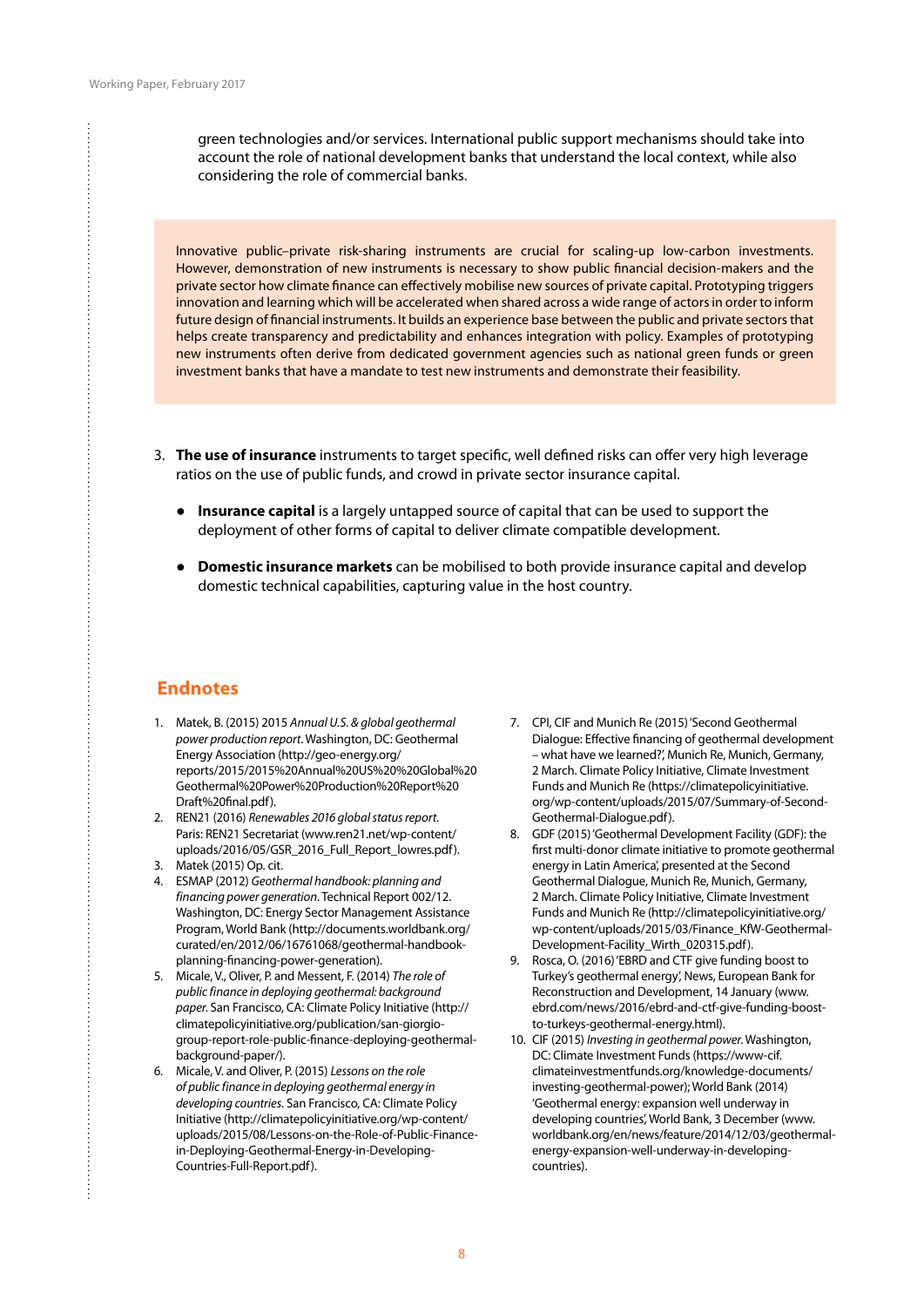green technologies and/or services. International public support mechanisms should take into account the role of national development banks that understand the local context, while also considering the role of commercial banks.

Innovative public–private risk-sharing instruments are crucial for scaling-up low-carbon investments. However, demonstration of new instruments is necessary to show public financial decision-makers and the private sector how climate finance can effectively mobilise new sources of private capital. Prototyping triggers innovation and learning which will be accelerated when shared across a wide range of actors in order to inform future design of financial instruments. It builds an experience base between the public and private sectors that helps create transparency and predictability and enhances integration with policy. Examples of prototyping new instruments often derive from dedicated government agencies such as national green funds or green investment banks that have a mandate to test new instruments and demonstrate their feasibility.

- 3. **The use of insurance** instruments to target specific, well defined risks can offer very high leverage ratios on the use of public funds, and crowd in private sector insurance capital.
	- **Insurance capital** is a largely untapped source of capital that can be used to support the deployment of other forms of capital to deliver climate compatible development.
	- **Domestic insurance markets** can be mobilised to both provide insurance capital and develop domestic technical capabilities, capturing value in the host country.

## **Endnotes**

- 1. Matek, B. (2015) 2015 *Annual U.S. & global geothermal power production report*. Washington, DC: Geothermal Energy Association (http://geo-energy.org/ reports/2015/2015%20Annual%20US%20%20Global%20 Geothermal%20Power%20Production%20Report%20 Draft%20final.pdf).
- 2. REN21 (2016) *Renewables 2016 global status report*. Paris: REN21 Secretariat (www.ren21.net/wp-content/ uploads/2016/05/GSR\_2016\_Full\_Report\_lowres.pdf).
- 3. Matek (2015) Op. cit.

÷

- 4. ESMAP (2012) *Geothermal handbook: planning and financing power generation*. Technical Report 002/12. Washington, DC: Energy Sector Management Assistance Program, World Bank (http://documents.worldbank.org/ curated/en/2012/06/16761068/geothermal-handbookplanning-financing-power-generation).
- 5. Micale, V., Oliver, P. and Messent, F. (2014) *The role of public finance in deploying geothermal: background paper*. San Francisco, CA: Climate Policy Initiative (http:// climatepolicyinitiative.org/publication/san-giorgiogroup-report-role-public-finance-deploying-geothermalbackground-paper/).
- 6. Micale, V. and Oliver, P. (2015) *Lessons on the role of public finance in deploying geothermal energy in developing countries*. San Francisco, CA: Climate Policy Initiative (http://climatepolicyinitiative.org/wp-content/ uploads/2015/08/Lessons-on-the-Role-of-Public-Financein-Deploying-Geothermal-Energy-in-Developing-Countries-Full-Report.pdf).
- 7. CPI, CIF and Munich Re (2015) 'Second Geothermal Dialogue: Effective financing of geothermal development – what have we learned?', Munich Re, Munich, Germany, 2 March. Climate Policy Initiative, Climate Investment Funds and Munich Re (https://climatepolicyinitiative. org/wp-content/uploads/2015/07/Summary-of-Second-Geothermal-Dialogue.pdf).
- 8. GDF (2015) 'Geothermal Development Facility (GDF): the first multi-donor climate initiative to promote geothermal energy in Latin America', presented at the Second Geothermal Dialogue, Munich Re, Munich, Germany, 2 March. Climate Policy Initiative, Climate Investment Funds and Munich Re (http://climatepolicyinitiative.org/ wp-content/uploads/2015/03/Finance\_KfW-Geothermal-Development-Facility\_Wirth\_020315.pdf).
- 9. Rosca, O. (2016) 'EBRD and CTF give funding boost to Turkey's geothermal energy', News, European Bank for Reconstruction and Development, 14 January (www. ebrd.com/news/2016/ebrd-and-ctf-give-funding-boostto-turkeys-geothermal-energy.html).
- 10. CIF (2015) *Investing in geothermal power*. Washington, DC: Climate Investment Funds (https://www-cif. climateinvestmentfunds.org/knowledge-documents/ investing-geothermal-power); World Bank (2014) 'Geothermal energy: expansion well underway in developing countries', World Bank, 3 December (www. worldbank.org/en/news/feature/2014/12/03/geothermalenergy-expansion-well-underway-in-developingcountries).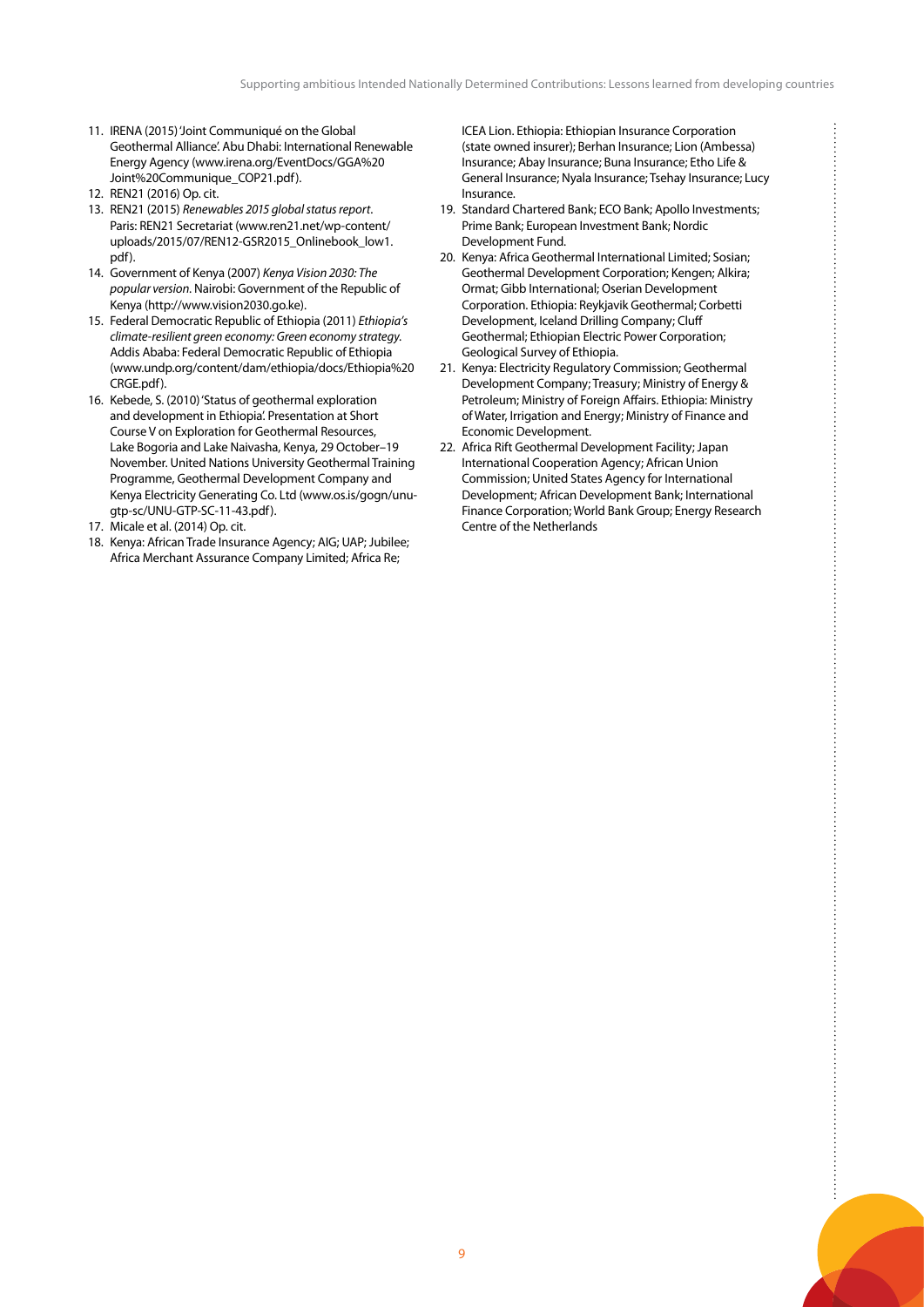- 11. IRENA (2015) 'Joint Communiqué on the Global Geothermal Alliance'. Abu Dhabi: International Renewable Energy Agency (www.irena.org/EventDocs/GGA%20 Joint%20Communique\_COP21.pdf).
- 12. REN21 (2016) Op. cit.
- 13. REN21 (2015) *Renewables 2015 global status report*. Paris: REN21 Secretariat (www.ren21.net/wp-content/ uploads/2015/07/REN12-GSR2015\_Onlinebook\_low1. pdf).
- 14. Government of Kenya (2007) *Kenya Vision 2030: The popular version*. Nairobi: Government of the Republic of Kenya (http://www.vision2030.go.ke).
- 15. Federal Democratic Republic of Ethiopia (2011) *Ethiopia's climate-resilient green economy: Green economy strategy*. Addis Ababa: Federal Democratic Republic of Ethiopia (www.undp.org/content/dam/ethiopia/docs/Ethiopia%20 CRGE.pdf).
- 16. Kebede, S. (2010) 'Status of geothermal exploration and development in Ethiopia'. Presentation at Short Course V on Exploration for Geothermal Resources, Lake Bogoria and Lake Naivasha, Kenya, 29 October–19 November. United Nations University Geothermal Training Programme, Geothermal Development Company and Kenya Electricity Generating Co. Ltd (www.os.is/gogn/unugtp-sc/UNU-GTP-SC-11-43.pdf).
- 17. Micale et al. (2014) Op. cit.
- 18. Kenya: African Trade Insurance Agency; AIG; UAP; Jubilee; Africa Merchant Assurance Company Limited; Africa Re;

ICEA Lion. Ethiopia: Ethiopian Insurance Corporation (state owned insurer); Berhan Insurance; Lion (Ambessa) Insurance; Abay Insurance; Buna Insurance; Etho Life & General Insurance; Nyala Insurance; Tsehay Insurance; Lucy Insurance.

- 19. Standard Chartered Bank; ECO Bank; Apollo Investments; Prime Bank; European Investment Bank; Nordic Development Fund.
- 20. Kenya: Africa Geothermal International Limited; Sosian; Geothermal Development Corporation; Kengen; Alkira; Ormat; Gibb International; Oserian Development Corporation. Ethiopia: Reykjavik Geothermal; Corbetti Development, Iceland Drilling Company; Cluff Geothermal; Ethiopian Electric Power Corporation; Geological Survey of Ethiopia.
- 21. Kenya: Electricity Regulatory Commission; Geothermal Development Company; Treasury; Ministry of Energy & Petroleum; Ministry of Foreign Affairs. Ethiopia: Ministry of Water, Irrigation and Energy; Ministry of Finance and Economic Development.
- 22. Africa Rift Geothermal Development Facility; Japan International Cooperation Agency; African Union Commission; United States Agency for International Development; African Development Bank; International Finance Corporation; World Bank Group; Energy Research Centre of the Netherlands

÷